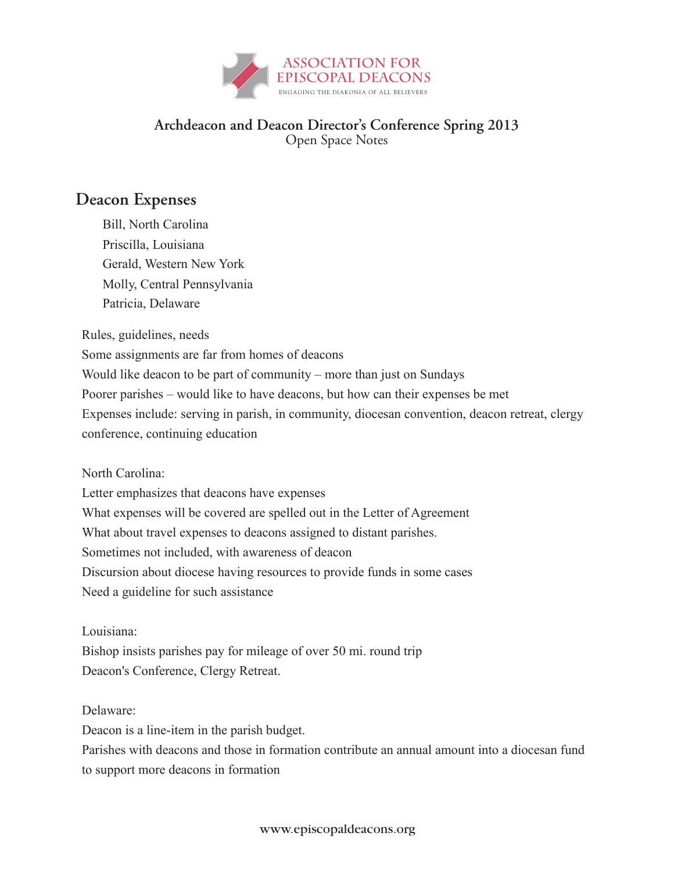

## **Archdeacon and Deacon Director's Conference Spring 2013** Open Space Notes

## Deacon Expenses

Bill, North Carolina Bill, North Carolina Priscilla, Louisiana Priscilla, Louisiana Gerald, Western New York Gerald, Western New York Molly, Central Pennsylvania Molly, Central Pennsylvania Patricia, Delaware Patricia, Delaware

Rules, guidelines, needs Rules, guidelines, needs

Some assignments are far from homes of deacons Some assignments are far from homes of deacons

Would like deacon to be part of community – more than just on Sundays Would like deacon to be part of community – more than just on Sundays

Poorer parishes – would like to have deacons, but how can their expenses be met Poorer parishes – would like to have deacons, but how can their expenses be met

Expenses include: serving in parish, in community, diocesan convention, deacon retreat, clergy Expenses include: serving in parish, in community, diocesan convention, deacon retreat, clergy conference, continuing education conference, continuing education

 $\frac{1}{1}$ North Carolina:

Letter emphasizes that deacons have expenses

What expenses will be covered are spelled out in the Letter of Agreement

What about travel expenses to deacons assigned to distant parishes.

Sometimes not included, with awareness of deacon

Discursion about diocese having resources to provide funds in some cases Discursion about diocese having resources to provide funds in some cases

Need a guideline for such assistance Need a guideline for such assistance

Louisiana:

nounu.<br>... Bishop insists parishes pay for mileage of over 50 mi. round trip Bishop insists parishes pay for mileage of over 50 mi. round trip Deacon's Conference, Clergy Retreat. Deacon's Conference, Clergy Retreat.

Delaware:

 $\frac{d}{dx}$ Deacon is a line-item in the parish budget. Deacon is a line-item in the parish budget.

Parishes with deacons and those in formation contribute an annual amount into a diocesan fund Parishes with deacons and those in formation contribute an annual amount into a diocesan fund to support more deacons in formation to support more deacons in formation